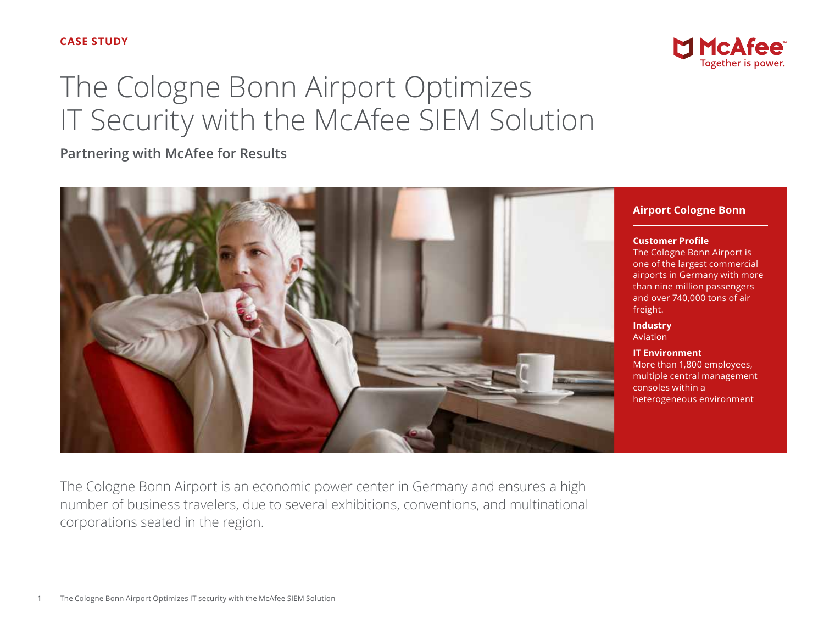## **CASE STUDY**

# The Cologne Bonn Airport Optimizes IT Security with the McAfee SIEM Solution

**Partnering with McAfee for Results**





## **Airport Cologne Bonn**

**Customer Profile**

The Cologne Bonn Airport is one of the largest commercial airports in Germany with more than nine million passengers and over 740,000 tons of air freight.

**Industry** Aviation

**IT Environment** More than 1,800 employees, multiple central management consoles within a heterogeneous environment

The Cologne Bonn Airport is an economic power center in Germany and ensures a high number of business travelers, due to several exhibitions, conventions, and multinational corporations seated in the region.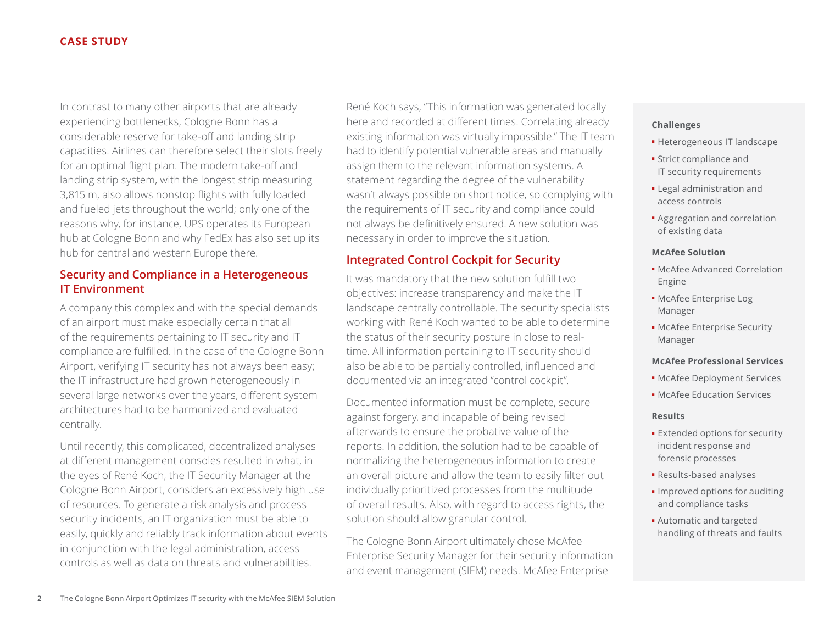## **CASE STUDY**

In contrast to many other airports that are already experiencing bottlenecks, Cologne Bonn has a considerable reserve for take-off and landing strip capacities. Airlines can therefore select their slots freely for an optimal flight plan. The modern take-off and landing strip system, with the longest strip measuring 3,815 m, also allows nonstop flights with fully loaded and fueled jets throughout the world; only one of the reasons why, for instance, UPS operates its European hub at Cologne Bonn and why FedEx has also set up its hub for central and western Europe there.

# **Security and Compliance in a Heterogeneous IT Environment**

A company this complex and with the special demands of an airport must make especially certain that all of the requirements pertaining to IT security and IT compliance are fulfilled. In the case of the Cologne Bonn Airport, verifying IT security has not always been easy; the IT infrastructure had grown heterogeneously in several large networks over the years, different system architectures had to be harmonized and evaluated centrally.

Until recently, this complicated, decentralized analyses at different management consoles resulted in what, in the eyes of René Koch, the IT Security Manager at the Cologne Bonn Airport, considers an excessively high use of resources. To generate a risk analysis and process security incidents, an IT organization must be able to easily, quickly and reliably track information about events in conjunction with the legal administration, access controls as well as data on threats and vulnerabilities.

René Koch says, "This information was generated locally here and recorded at different times. Correlating already existing information was virtually impossible." The IT team had to identify potential vulnerable areas and manually assign them to the relevant information systems. A statement regarding the degree of the vulnerability wasn't always possible on short notice, so complying with the requirements of IT security and compliance could not always be definitively ensured. A new solution was necessary in order to improve the situation.

# **Integrated Control Cockpit for Security**

It was mandatory that the new solution fulfill two objectives: increase transparency and make the IT landscape centrally controllable. The security specialists working with René Koch wanted to be able to determine the status of their security posture in close to realtime. All information pertaining to IT security should also be able to be partially controlled, influenced and documented via an integrated "control cockpit".

Documented information must be complete, secure against forgery, and incapable of being revised afterwards to ensure the probative value of the reports. In addition, the solution had to be capable of normalizing the heterogeneous information to create an overall picture and allow the team to easily filter out individually prioritized processes from the multitude of overall results. Also, with regard to access rights, the solution should allow granular control.

The Cologne Bonn Airport ultimately chose McAfee Enterprise Security Manager for their security information and event management (SIEM) needs. McAfee Enterprise

#### **Challenges**

- Heterogeneous IT landscape
- Strict compliance and IT security requirements
- Legal administration and access controls
- Aggregation and correlation of existing data

#### **McAfee Solution**

- McAfee Advanced Correlation Engine
- McAfee Enterprise Log Manager
- McAfee Enterprise Security Manager

#### **McAfee Professional Services**

- McAfee Deployment Services
- McAfee Education Services

#### **Results**

- Extended options for security incident response and forensic processes
- Results-based analyses
- Improved options for auditing and compliance tasks
- Automatic and targeted handling of threats and faults